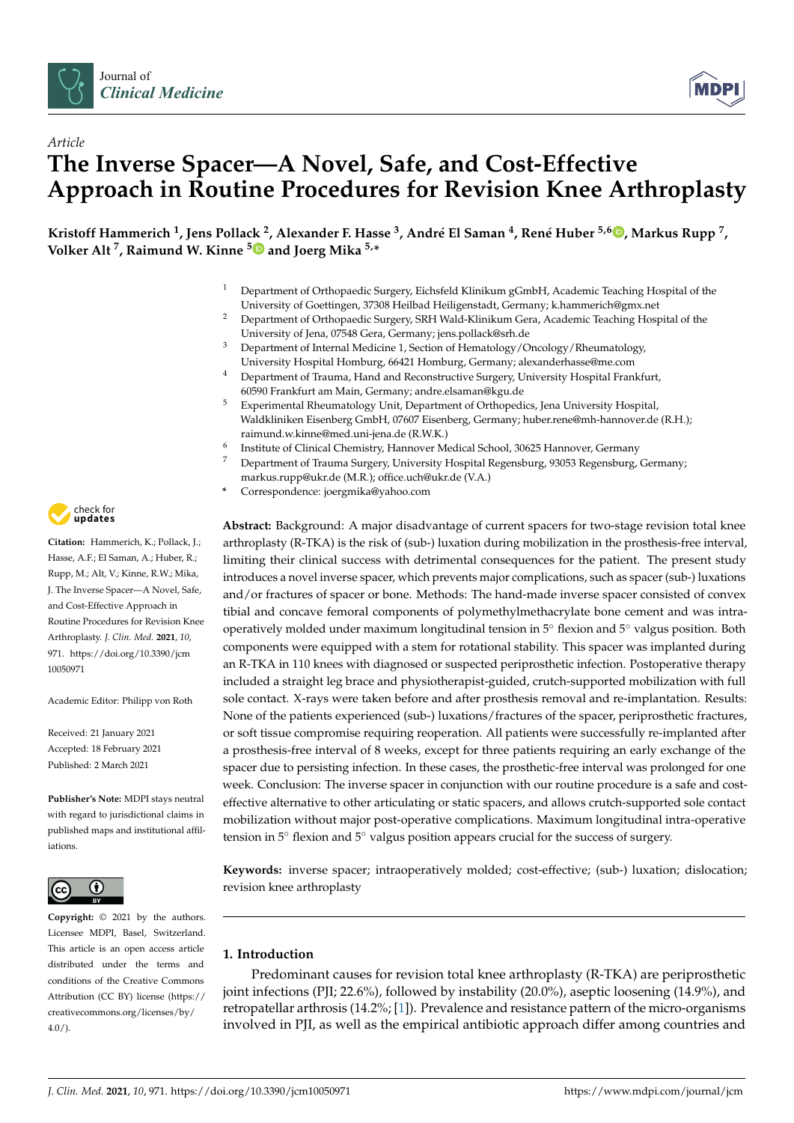



# *Article* **The Inverse Spacer—A Novel, Safe, and Cost-Effective Approach in Routine Procedures for Revision Knee Arthroplasty**

Kristoff Hammerich <sup>1</sup>, Jens Pollack <sup>2</sup>, Alexander F. Hasse <sup>3</sup>, André El Saman <sup>4</sup>, René Huber <sup>5,6</sup> D, Markus Rupp <sup>7</sup>, **Volker Alt <sup>7</sup> , Raimund W. Kinne <sup>5</sup> and Joerg Mika 5,\***

- <sup>1</sup> Department of Orthopaedic Surgery, Eichsfeld Klinikum gGmbH, Academic Teaching Hospital of the University of Goettingen, 37308 Heilbad Heiligenstadt, Germany; k.hammerich@gmx.net
- <sup>2</sup> Department of Orthopaedic Surgery, SRH Wald-Klinikum Gera, Academic Teaching Hospital of the University of Jena, 07548 Gera, Germany; jens.pollack@srh.de
- <sup>3</sup> Department of Internal Medicine 1, Section of Hematology/Oncology/Rheumatology, University Hospital Homburg, 66421 Homburg, Germany; alexanderhasse@me.com
- <sup>4</sup> Department of Trauma, Hand and Reconstructive Surgery, University Hospital Frankfurt, 60590 Frankfurt am Main, Germany; andre.elsaman@kgu.de
- <sup>5</sup> Experimental Rheumatology Unit, Department of Orthopedics, Jena University Hospital, Waldkliniken Eisenberg GmbH, 07607 Eisenberg, Germany; huber.rene@mh-hannover.de (R.H.); raimund.w.kinne@med.uni-jena.de (R.W.K.)
- 6 Institute of Clinical Chemistry, Hannover Medical School, 30625 Hannover, Germany
- <sup>7</sup> Department of Trauma Surgery, University Hospital Regensburg, 93053 Regensburg, Germany; markus.rupp@ukr.de (M.R.); office.uch@ukr.de (V.A.)
- **\*** Correspondence: joergmika@yahoo.com

**Abstract:** Background: A major disadvantage of current spacers for two-stage revision total knee arthroplasty (R-TKA) is the risk of (sub-) luxation during mobilization in the prosthesis-free interval, limiting their clinical success with detrimental consequences for the patient. The present study introduces a novel inverse spacer, which prevents major complications, such as spacer (sub-) luxations and/or fractures of spacer or bone. Methods: The hand-made inverse spacer consisted of convex tibial and concave femoral components of polymethylmethacrylate bone cement and was intraoperatively molded under maximum longitudinal tension in 5◦ flexion and 5◦ valgus position. Both components were equipped with a stem for rotational stability. This spacer was implanted during an R-TKA in 110 knees with diagnosed or suspected periprosthetic infection. Postoperative therapy included a straight leg brace and physiotherapist-guided, crutch-supported mobilization with full sole contact. X-rays were taken before and after prosthesis removal and re-implantation. Results: None of the patients experienced (sub-) luxations/fractures of the spacer, periprosthetic fractures, or soft tissue compromise requiring reoperation. All patients were successfully re-implanted after a prosthesis-free interval of 8 weeks, except for three patients requiring an early exchange of the spacer due to persisting infection. In these cases, the prosthetic-free interval was prolonged for one week. Conclusion: The inverse spacer in conjunction with our routine procedure is a safe and costeffective alternative to other articulating or static spacers, and allows crutch-supported sole contact mobilization without major post-operative complications. Maximum longitudinal intra-operative tension in 5<sup>°</sup> flexion and 5<sup>°</sup> valgus position appears crucial for the success of surgery.

**Keywords:** inverse spacer; intraoperatively molded; cost-effective; (sub-) luxation; dislocation; revision knee arthroplasty

# **1. Introduction**

Predominant causes for revision total knee arthroplasty (R-TKA) are periprosthetic joint infections (PJI; 22.6%), followed by instability (20.0%), aseptic loosening (14.9%), and retropatellar arthrosis (14.2%; [1]). Prevalence and resistance pattern of the micro-organisms involved in PJI, as well as the empirical antibiotic approach differ among countries and



**Citation:** Hammerich, K.; Pollack, J.; Hasse, A.F.; El Saman, A.; Huber, R.; Rupp, M.; Alt, V.; Kinne, R.W.; Mika, J. The Inverse Spacer—A Novel, Safe, and Cost-Effective Approach in Routine Procedures for Revision Knee Arthroplasty. *J. Clin. Med.* **2021**, *10*, 971. https://doi.org/10.3390/jcm 10050971

Academic Editor: Philipp von Roth

Received: 21 January 2021 Accepted: 18 February 2021 Published: 2 March 2021

**Publisher's Note:** MDPI stays neutral with regard to jurisdictional claims in published maps and institutional affiliations.



**Copyright:** © 2021 by the authors. Licensee MDPI, Basel, Switzerland. This article is an open access article distributed under the terms and conditions of the Creative Commons Attribution (CC BY) license (https:// creativecommons.org/licenses/by/  $4.0/$ ).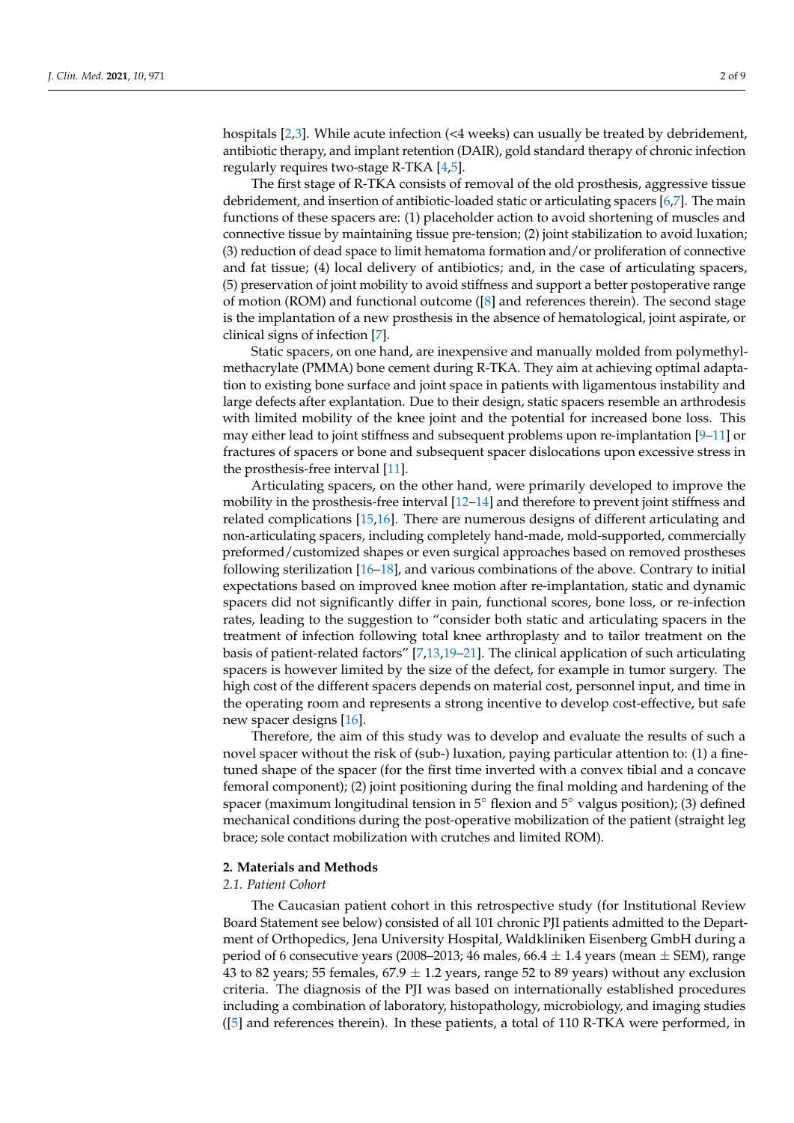hospitals [2,3]. While acute infection (<4 weeks) can usually be treated by debridement, antibiotic therapy, and implant retention (DAIR), gold standard therapy of chronic infection regularly requires two-stage R-TKA [4,5].

The first stage of R-TKA consists of removal of the old prosthesis, aggressive tissue debridement, and insertion of antibiotic-loaded static or articulating spacers [6,7]. The main functions of these spacers are: (1) placeholder action to avoid shortening of muscles and connective tissue by maintaining tissue pre-tension; (2) joint stabilization to avoid luxation; (3) reduction of dead space to limit hematoma formation and/or proliferation of connective and fat tissue; (4) local delivery of antibiotics; and, in the case of articulating spacers, (5) preservation of joint mobility to avoid stiffness and support a better postoperative range of motion (ROM) and functional outcome ([8] and references therein). The second stage is the implantation of a new prosthesis in the absence of hematological, joint aspirate, or clinical signs of infection [7].

Static spacers, on one hand, are inexpensive and manually molded from polymethylmethacrylate (PMMA) bone cement during R-TKA. They aim at achieving optimal adaptation to existing bone surface and joint space in patients with ligamentous instability and large defects after explantation. Due to their design, static spacers resemble an arthrodesis with limited mobility of the knee joint and the potential for increased bone loss. This may either lead to joint stiffness and subsequent problems upon re-implantation [9–11] or fractures of spacers or bone and subsequent spacer dislocations upon excessive stress in the prosthesis-free interval [11].

Articulating spacers, on the other hand, were primarily developed to improve the mobility in the prosthesis-free interval [12–14] and therefore to prevent joint stiffness and related complications [15,16]. There are numerous designs of different articulating and non-articulating spacers, including completely hand-made, mold-supported, commercially preformed/customized shapes or even surgical approaches based on removed prostheses following sterilization [16–18], and various combinations of the above. Contrary to initial expectations based on improved knee motion after re-implantation, static and dynamic spacers did not significantly differ in pain, functional scores, bone loss, or re-infection rates, leading to the suggestion to "consider both static and articulating spacers in the treatment of infection following total knee arthroplasty and to tailor treatment on the basis of patient-related factors" [7,13,19–21]. The clinical application of such articulating spacers is however limited by the size of the defect, for example in tumor surgery. The high cost of the different spacers depends on material cost, personnel input, and time in the operating room and represents a strong incentive to develop cost-effective, but safe new spacer designs [16].

Therefore, the aim of this study was to develop and evaluate the results of such a novel spacer without the risk of (sub-) luxation, paying particular attention to: (1) a finetuned shape of the spacer (for the first time inverted with a convex tibial and a concave femoral component); (2) joint positioning during the final molding and hardening of the spacer (maximum longitudinal tension in  $5^\circ$  flexion and  $5^\circ$  valgus position); (3) defined mechanical conditions during the post-operative mobilization of the patient (straight leg brace; sole contact mobilization with crutches and limited ROM).

## **2. Materials and Methods**

# *2.1. Patient Cohort*

The Caucasian patient cohort in this retrospective study (for Institutional Review Board Statement see below) consisted of all 101 chronic PJI patients admitted to the Department of Orthopedics, Jena University Hospital, Waldkliniken Eisenberg GmbH during a period of 6 consecutive years (2008–2013; 46 males, 66.4  $\pm$  1.4 years (mean  $\pm$  SEM), range 43 to 82 years; 55 females,  $67.9 \pm 1.2$  years, range 52 to 89 years) without any exclusion criteria. The diagnosis of the PJI was based on internationally established procedures including a combination of laboratory, histopathology, microbiology, and imaging studies ([5] and references therein). In these patients, a total of 110 R-TKA were performed, in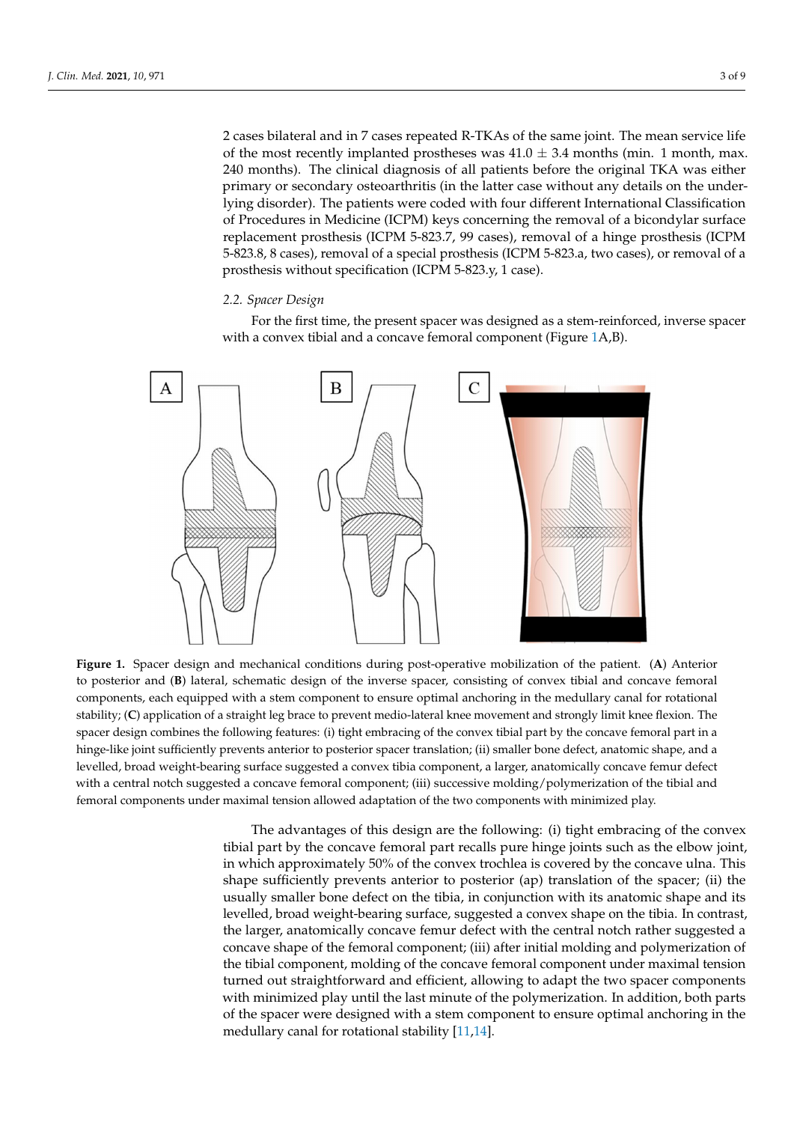2 cases bilateral and in 7 cases repeated R-TKAs of the same joint. The mean service life of the most recently implanted prostheses was  $41.0 \pm 3.4$  months (min. 1 month, max. 240 months). The clinical diagnosis of all patients before the original TKA was either primary or secondary osteoarthritis (in the latter case without any details on the underlying disorder). The patients were coded with four different International Classification of Procedures in Medicine (ICPM) keys concerning the removal of a bicondylar surface replacement prosthesis (ICPM 5-823.7, 99 cases), removal of a hinge prosthesis (ICPM 5-823.8, 8 cases), removal of a special prosthesis (ICPM 5-823.a, two cases), or removal of a prosthesis without specification (ICPM 5-823.y, 1 case).

### *2.2. Spacer Design*

For the first time, the present spacer was designed as a stem-reinforced, inverse spacer with a convex tibial and a concave femoral component (Figure 1A,B).



**Figure 1.** Spacer design and mechanical conditions during post-operative mobilization of the patient. (**A**) Anterior to posterior and (**B**) lateral, schematic design of the inverse spacer, consisting of convex tibial and concave femoral components, each equipped with a stem component to ensure optimal anchoring in the medullary canal for rotational stability; (**C**) application of a straight leg brace to prevent medio-lateral knee movement and strongly limit knee flexion. The spacer design combines the following features: (i) tight embracing of the convex tibial part by the concave femoral part in a hinge-like joint sufficiently prevents anterior to posterior spacer translation; (ii) smaller bone defect, anatomic shape, and a levelled, broad weight-bearing surface suggested a convex tibia component, a larger, anatomically concave femur defect with a central notch suggested a concave femoral component; (iii) successive molding/polymerization of the tibial and femoral components under maximal tension allowed adaptation of the two components with minimized play.

The advantages of this design are the following: (i) tight embracing of the convex tibial part by the concave femoral part recalls pure hinge joints such as the elbow joint, in which approximately 50% of the convex trochlea is covered by the concave ulna. This shape sufficiently prevents anterior to posterior (ap) translation of the spacer; (ii) the usually smaller bone defect on the tibia, in conjunction with its anatomic shape and its levelled, broad weight-bearing surface, suggested a convex shape on the tibia. In contrast, the larger, anatomically concave femur defect with the central notch rather suggested a concave shape of the femoral component; (iii) after initial molding and polymerization of the tibial component, molding of the concave femoral component under maximal tension turned out straightforward and efficient, allowing to adapt the two spacer components with minimized play until the last minute of the polymerization. In addition, both parts of the spacer were designed with a stem component to ensure optimal anchoring in the medullary canal for rotational stability [11,14].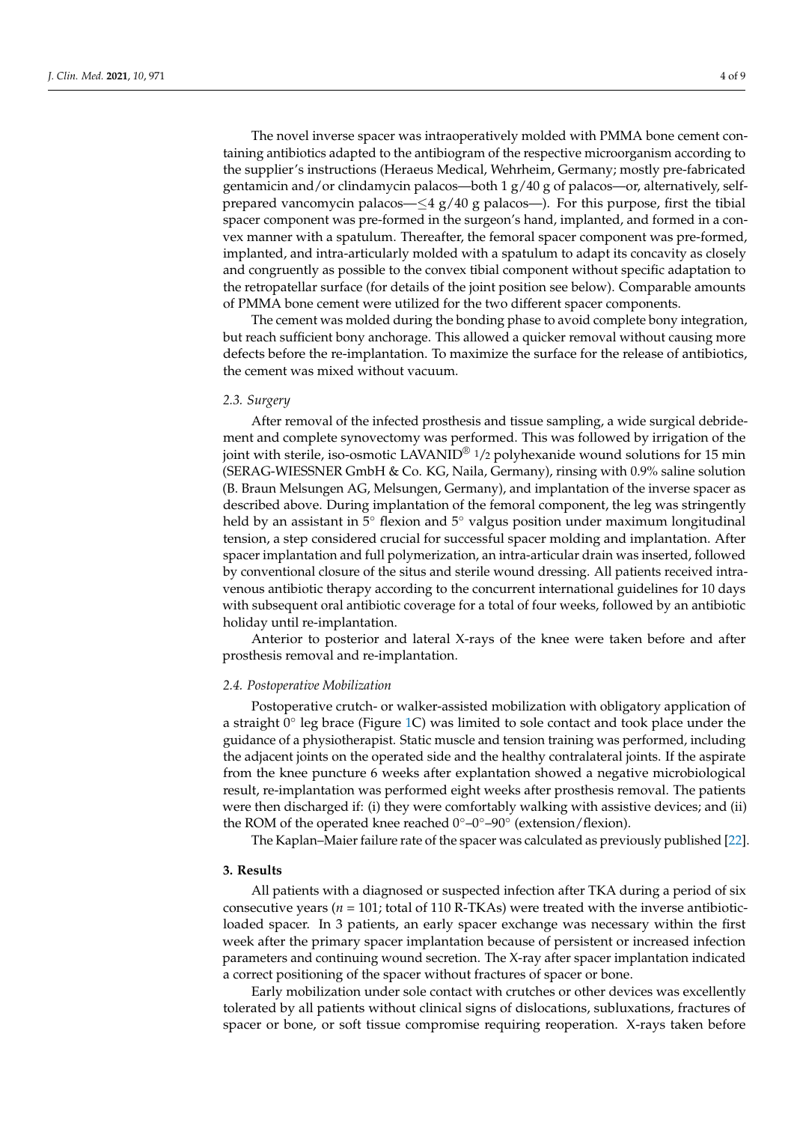The novel inverse spacer was intraoperatively molded with PMMA bone cement containing antibiotics adapted to the antibiogram of the respective microorganism according to the supplier's instructions (Heraeus Medical, Wehrheim, Germany; mostly pre-fabricated gentamicin and/or clindamycin palacos—both  $1 g/40 g$  of palacos—or, alternatively, selfprepared vancomycin palacos— $\leq$ 4 g/40 g palacos—). For this purpose, first the tibial spacer component was pre-formed in the surgeon's hand, implanted, and formed in a convex manner with a spatulum. Thereafter, the femoral spacer component was pre-formed, implanted, and intra-articularly molded with a spatulum to adapt its concavity as closely and congruently as possible to the convex tibial component without specific adaptation to the retropatellar surface (for details of the joint position see below). Comparable amounts of PMMA bone cement were utilized for the two different spacer components.

The cement was molded during the bonding phase to avoid complete bony integration, but reach sufficient bony anchorage. This allowed a quicker removal without causing more defects before the re-implantation. To maximize the surface for the release of antibiotics, the cement was mixed without vacuum.

## *2.3. Surgery*

After removal of the infected prosthesis and tissue sampling, a wide surgical debridement and complete synovectomy was performed. This was followed by irrigation of the joint with sterile, iso-osmotic LAVANID<sup>®</sup> 1/2 polyhexanide wound solutions for 15 min (SERAG-WIESSNER GmbH & Co. KG, Naila, Germany), rinsing with 0.9% saline solution (B. Braun Melsungen AG, Melsungen, Germany), and implantation of the inverse spacer as described above. During implantation of the femoral component, the leg was stringently held by an assistant in 5◦ flexion and 5◦ valgus position under maximum longitudinal tension, a step considered crucial for successful spacer molding and implantation. After spacer implantation and full polymerization, an intra-articular drain was inserted, followed by conventional closure of the situs and sterile wound dressing. All patients received intravenous antibiotic therapy according to the concurrent international guidelines for 10 days with subsequent oral antibiotic coverage for a total of four weeks, followed by an antibiotic holiday until re-implantation.

Anterior to posterior and lateral X-rays of the knee were taken before and after prosthesis removal and re-implantation.

#### *2.4. Postoperative Mobilization*

Postoperative crutch- or walker-assisted mobilization with obligatory application of a straight  $\hat{0}^{\circ}$  leg brace (Figure 1C) was limited to sole contact and took place under the guidance of a physiotherapist. Static muscle and tension training was performed, including the adjacent joints on the operated side and the healthy contralateral joints. If the aspirate from the knee puncture 6 weeks after explantation showed a negative microbiological result, re-implantation was performed eight weeks after prosthesis removal. The patients were then discharged if: (i) they were comfortably walking with assistive devices; and (ii) the ROM of the operated knee reached  $0^{\circ}-0^{\circ}-90^{\circ}$  (extension/flexion).

The Kaplan–Maier failure rate of the spacer was calculated as previously published [22].

#### **3. Results**

All patients with a diagnosed or suspected infection after TKA during a period of six consecutive years ( $n = 101$ ; total of 110 R-TKAs) were treated with the inverse antibioticloaded spacer. In 3 patients, an early spacer exchange was necessary within the first week after the primary spacer implantation because of persistent or increased infection parameters and continuing wound secretion. The X-ray after spacer implantation indicated a correct positioning of the spacer without fractures of spacer or bone.

Early mobilization under sole contact with crutches or other devices was excellently tolerated by all patients without clinical signs of dislocations, subluxations, fractures of spacer or bone, or soft tissue compromise requiring reoperation. X-rays taken before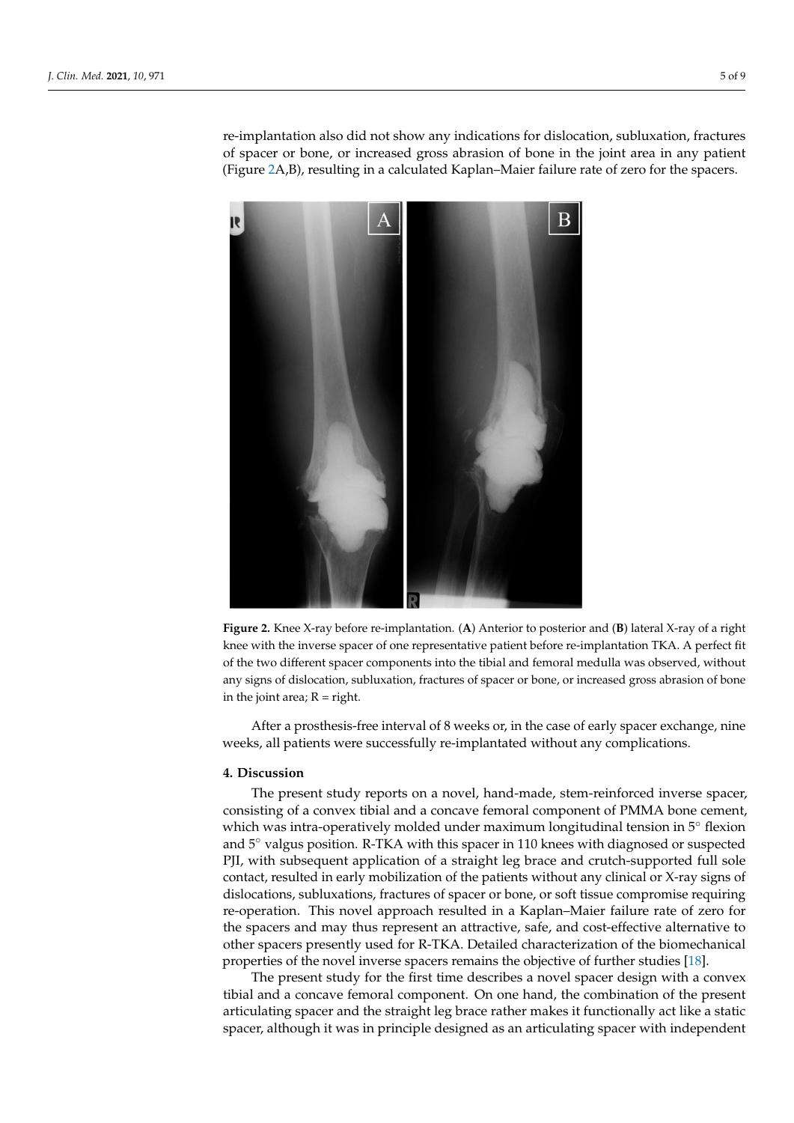re-implantation also did not show any indications for dislocation, subluxation, fractures of spacer or bone, or increased gross abrasion of bone in the joint area in any patient (Figure 2A,B), resulting in a calculated Kaplan–Maier failure rate of zero for the spacers.



**Figure 2.** Knee X-ray before re-implantation. (**A**) Anterior to posterior and (**B**) lateral X-ray of a right knee with the inverse spacer of one representative patient before re-implantation TKA. A perfect fit of the two different spacer components into the tibial and femoral medulla was observed, without any signs of dislocation, subluxation, fractures of spacer or bone, or increased gross abrasion of bone in the joint area;  $R = right$ .

After a prosthesis-free interval of 8 weeks or, in the case of early spacer exchange, nine weeks, all patients were successfully re-implantated without any complications.

#### **4. Discussion**

The present study reports on a novel, hand-made, stem-reinforced inverse spacer, consisting of a convex tibial and a concave femoral component of PMMA bone cement, which was intra-operatively molded under maximum longitudinal tension in 5◦ flexion and 5◦ valgus position. R-TKA with this spacer in 110 knees with diagnosed or suspected PJI, with subsequent application of a straight leg brace and crutch-supported full sole contact, resulted in early mobilization of the patients without any clinical or X-ray signs of dislocations, subluxations, fractures of spacer or bone, or soft tissue compromise requiring re-operation. This novel approach resulted in a Kaplan–Maier failure rate of zero for the spacers and may thus represent an attractive, safe, and cost-effective alternative to other spacers presently used for R-TKA. Detailed characterization of the biomechanical properties of the novel inverse spacers remains the objective of further studies [18].

The present study for the first time describes a novel spacer design with a convex tibial and a concave femoral component. On one hand, the combination of the present articulating spacer and the straight leg brace rather makes it functionally act like a static spacer, although it was in principle designed as an articulating spacer with independent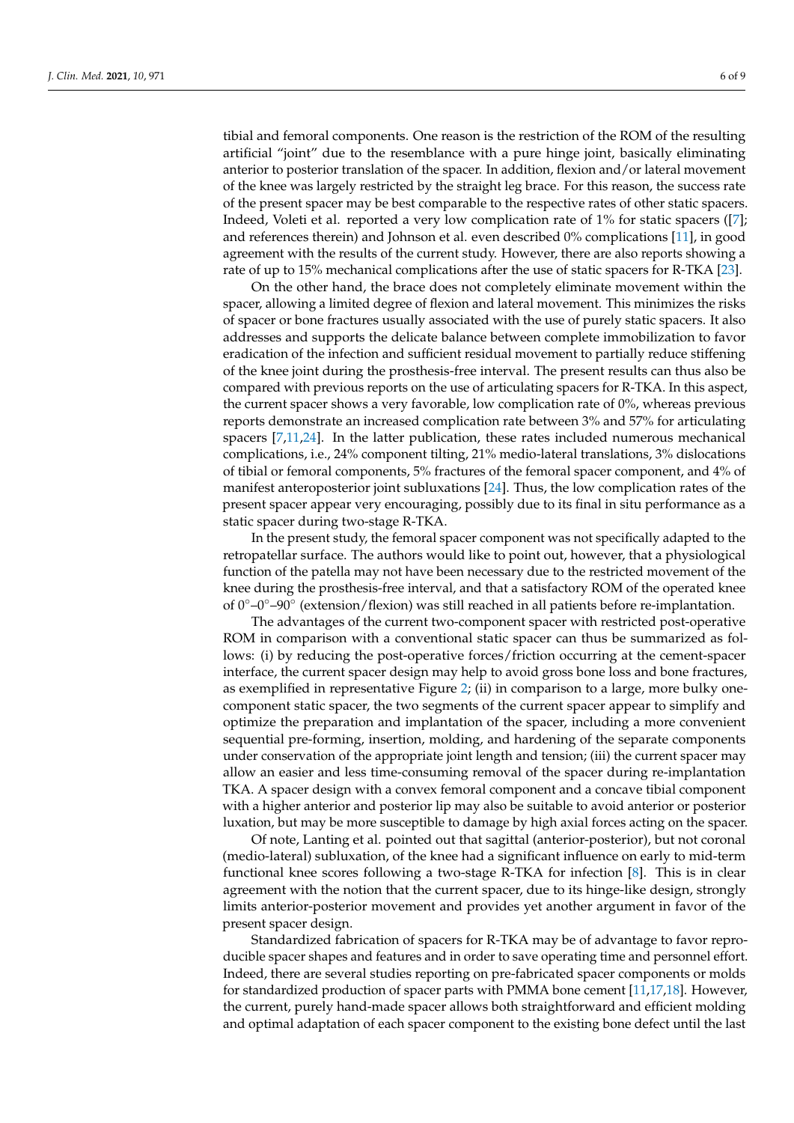tibial and femoral components. One reason is the restriction of the ROM of the resulting artificial "joint" due to the resemblance with a pure hinge joint, basically eliminating anterior to posterior translation of the spacer. In addition, flexion and/or lateral movement of the knee was largely restricted by the straight leg brace. For this reason, the success rate of the present spacer may be best comparable to the respective rates of other static spacers. Indeed, Voleti et al. reported a very low complication rate of 1% for static spacers ([7]; and references therein) and Johnson et al. even described 0% complications [11], in good agreement with the results of the current study. However, there are also reports showing a rate of up to 15% mechanical complications after the use of static spacers for R-TKA [23].

On the other hand, the brace does not completely eliminate movement within the spacer, allowing a limited degree of flexion and lateral movement. This minimizes the risks of spacer or bone fractures usually associated with the use of purely static spacers. It also addresses and supports the delicate balance between complete immobilization to favor eradication of the infection and sufficient residual movement to partially reduce stiffening of the knee joint during the prosthesis-free interval. The present results can thus also be compared with previous reports on the use of articulating spacers for R-TKA. In this aspect, the current spacer shows a very favorable, low complication rate of 0%, whereas previous reports demonstrate an increased complication rate between 3% and 57% for articulating spacers [7,11,24]. In the latter publication, these rates included numerous mechanical complications, i.e., 24% component tilting, 21% medio-lateral translations, 3% dislocations of tibial or femoral components, 5% fractures of the femoral spacer component, and 4% of manifest anteroposterior joint subluxations [24]. Thus, the low complication rates of the present spacer appear very encouraging, possibly due to its final in situ performance as a static spacer during two-stage R-TKA.

In the present study, the femoral spacer component was not specifically adapted to the retropatellar surface. The authors would like to point out, however, that a physiological function of the patella may not have been necessary due to the restricted movement of the knee during the prosthesis-free interval, and that a satisfactory ROM of the operated knee of 0◦–0◦–90◦ (extension/flexion) was still reached in all patients before re-implantation.

The advantages of the current two-component spacer with restricted post-operative ROM in comparison with a conventional static spacer can thus be summarized as follows: (i) by reducing the post-operative forces/friction occurring at the cement-spacer interface, the current spacer design may help to avoid gross bone loss and bone fractures, as exemplified in representative Figure 2; (ii) in comparison to a large, more bulky onecomponent static spacer, the two segments of the current spacer appear to simplify and optimize the preparation and implantation of the spacer, including a more convenient sequential pre-forming, insertion, molding, and hardening of the separate components under conservation of the appropriate joint length and tension; (iii) the current spacer may allow an easier and less time-consuming removal of the spacer during re-implantation TKA. A spacer design with a convex femoral component and a concave tibial component with a higher anterior and posterior lip may also be suitable to avoid anterior or posterior luxation, but may be more susceptible to damage by high axial forces acting on the spacer.

Of note, Lanting et al. pointed out that sagittal (anterior-posterior), but not coronal (medio-lateral) subluxation, of the knee had a significant influence on early to mid-term functional knee scores following a two-stage R-TKA for infection [8]. This is in clear agreement with the notion that the current spacer, due to its hinge-like design, strongly limits anterior-posterior movement and provides yet another argument in favor of the present spacer design.

Standardized fabrication of spacers for R-TKA may be of advantage to favor reproducible spacer shapes and features and in order to save operating time and personnel effort. Indeed, there are several studies reporting on pre-fabricated spacer components or molds for standardized production of spacer parts with PMMA bone cement [11,17,18]. However, the current, purely hand-made spacer allows both straightforward and efficient molding and optimal adaptation of each spacer component to the existing bone defect until the last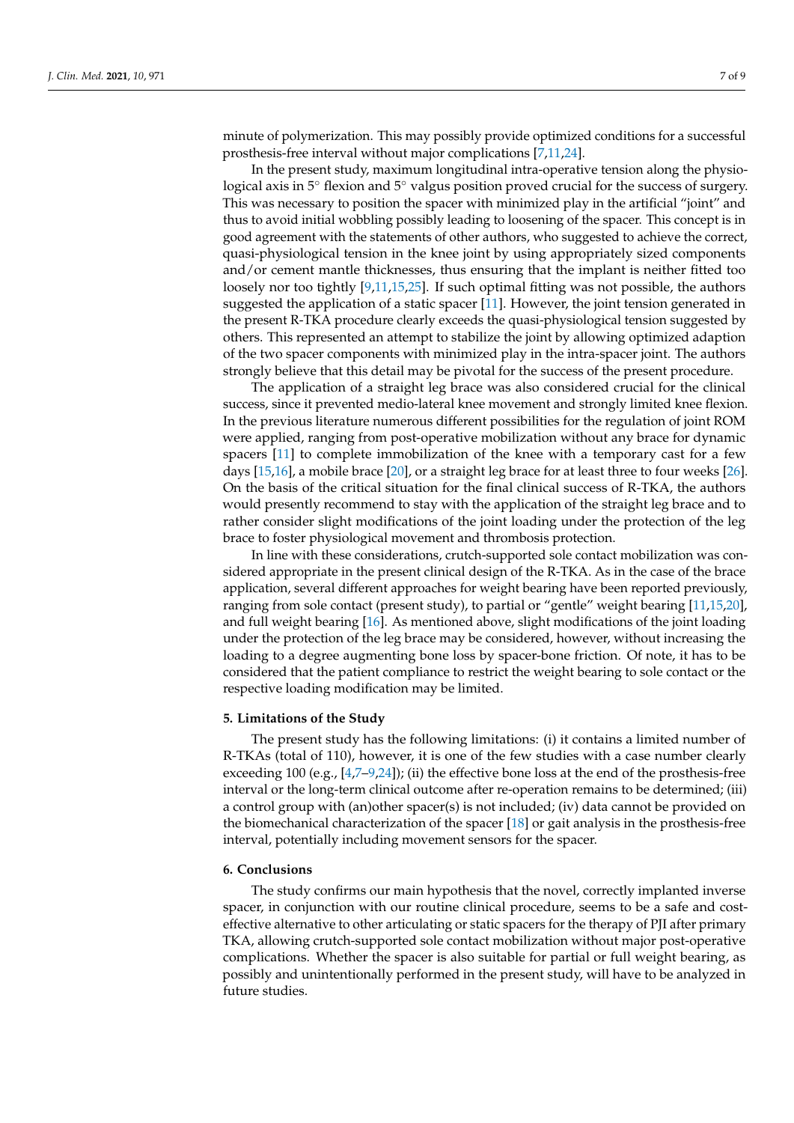minute of polymerization. This may possibly provide optimized conditions for a successful prosthesis-free interval without major complications [7,11,24].

In the present study, maximum longitudinal intra-operative tension along the physiological axis in 5◦ flexion and 5◦ valgus position proved crucial for the success of surgery. This was necessary to position the spacer with minimized play in the artificial "joint" and thus to avoid initial wobbling possibly leading to loosening of the spacer. This concept is in good agreement with the statements of other authors, who suggested to achieve the correct, quasi-physiological tension in the knee joint by using appropriately sized components and/or cement mantle thicknesses, thus ensuring that the implant is neither fitted too loosely nor too tightly [9,11,15,25]. If such optimal fitting was not possible, the authors suggested the application of a static spacer [11]. However, the joint tension generated in the present R-TKA procedure clearly exceeds the quasi-physiological tension suggested by others. This represented an attempt to stabilize the joint by allowing optimized adaption of the two spacer components with minimized play in the intra-spacer joint. The authors strongly believe that this detail may be pivotal for the success of the present procedure.

The application of a straight leg brace was also considered crucial for the clinical success, since it prevented medio-lateral knee movement and strongly limited knee flexion. In the previous literature numerous different possibilities for the regulation of joint ROM were applied, ranging from post-operative mobilization without any brace for dynamic spacers [11] to complete immobilization of the knee with a temporary cast for a few days [15,16], a mobile brace [20], or a straight leg brace for at least three to four weeks [26]. On the basis of the critical situation for the final clinical success of R-TKA, the authors would presently recommend to stay with the application of the straight leg brace and to rather consider slight modifications of the joint loading under the protection of the leg brace to foster physiological movement and thrombosis protection.

In line with these considerations, crutch-supported sole contact mobilization was considered appropriate in the present clinical design of the R-TKA. As in the case of the brace application, several different approaches for weight bearing have been reported previously, ranging from sole contact (present study), to partial or "gentle" weight bearing [11,15,20], and full weight bearing [16]. As mentioned above, slight modifications of the joint loading under the protection of the leg brace may be considered, however, without increasing the loading to a degree augmenting bone loss by spacer-bone friction. Of note, it has to be considered that the patient compliance to restrict the weight bearing to sole contact or the respective loading modification may be limited.

#### **5. Limitations of the Study**

The present study has the following limitations: (i) it contains a limited number of R-TKAs (total of 110), however, it is one of the few studies with a case number clearly exceeding 100 (e.g.,  $[4,7-9,24]$ ); (ii) the effective bone loss at the end of the prosthesis-free interval or the long-term clinical outcome after re-operation remains to be determined; (iii) a control group with (an)other spacer(s) is not included; (iv) data cannot be provided on the biomechanical characterization of the spacer [18] or gait analysis in the prosthesis-free interval, potentially including movement sensors for the spacer.

#### **6. Conclusions**

The study confirms our main hypothesis that the novel, correctly implanted inverse spacer, in conjunction with our routine clinical procedure, seems to be a safe and costeffective alternative to other articulating or static spacers for the therapy of PJI after primary TKA, allowing crutch-supported sole contact mobilization without major post-operative complications. Whether the spacer is also suitable for partial or full weight bearing, as possibly and unintentionally performed in the present study, will have to be analyzed in future studies.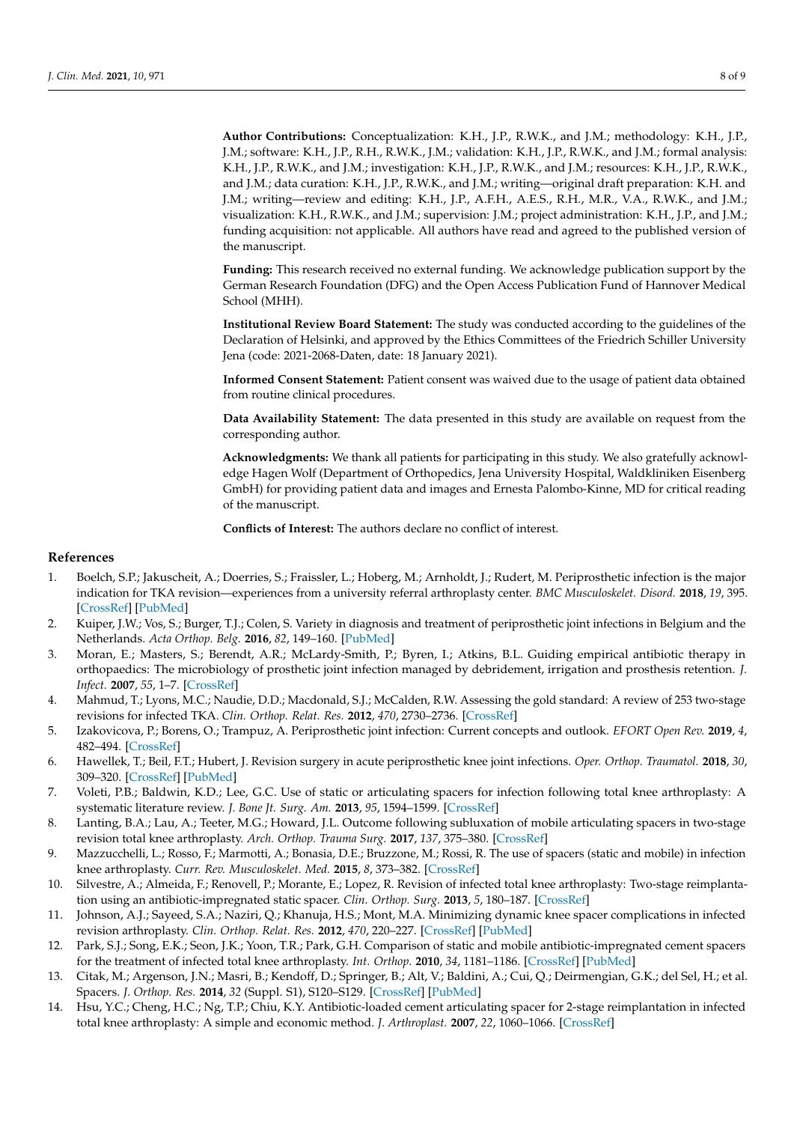**Author Contributions:** Conceptualization: K.H., J.P., R.W.K., and J.M.; methodology: K.H., J.P., J.M.; software: K.H., J.P., R.H., R.W.K., J.M.; validation: K.H., J.P., R.W.K., and J.M.; formal analysis: K.H., J.P., R.W.K., and J.M.; investigation: K.H., J.P., R.W.K., and J.M.; resources: K.H., J.P., R.W.K., and J.M.; data curation: K.H., J.P., R.W.K., and J.M.; writing—original draft preparation: K.H. and J.M.; writing—review and editing: K.H., J.P., A.F.H., A.E.S., R.H., M.R., V.A., R.W.K., and J.M.; visualization: K.H., R.W.K., and J.M.; supervision: J.M.; project administration: K.H., J.P., and J.M.; funding acquisition: not applicable. All authors have read and agreed to the published version of the manuscript.

**Funding:** This research received no external funding. We acknowledge publication support by the German Research Foundation (DFG) and the Open Access Publication Fund of Hannover Medical School (MHH).

**Institutional Review Board Statement:** The study was conducted according to the guidelines of the Declaration of Helsinki, and approved by the Ethics Committees of the Friedrich Schiller University Jena (code: 2021-2068-Daten, date: 18 January 2021).

**Informed Consent Statement:** Patient consent was waived due to the usage of patient data obtained from routine clinical procedures.

**Data Availability Statement:** The data presented in this study are available on request from the corresponding author.

**Acknowledgments:** We thank all patients for participating in this study. We also gratefully acknowledge Hagen Wolf (Department of Orthopedics, Jena University Hospital, Waldkliniken Eisenberg GmbH) for providing patient data and images and Ernesta Palombo-Kinne, MD for critical reading of the manuscript.

**Conflicts of Interest:** The authors declare no conflict of interest.

#### **References**

- 1. Boelch, S.P.; Jakuscheit, A.; Doerries, S.; Fraissler, L.; Hoberg, M.; Arnholdt, J.; Rudert, M. Periprosthetic infection is the major indication for TKA revision—experiences from a university referral arthroplasty center. *BMC Musculoskelet. Disord.* **2018**, *19*, 395. [CrossRef] [PubMed]
- 2. Kuiper, J.W.; Vos, S.; Burger, T.J.; Colen, S. Variety in diagnosis and treatment of periprosthetic joint infections in Belgium and the Netherlands. *Acta Orthop. Belg.* **2016**, *82*, 149–160. [PubMed]
- 3. Moran, E.; Masters, S.; Berendt, A.R.; McLardy-Smith, P.; Byren, I.; Atkins, B.L. Guiding empirical antibiotic therapy in orthopaedics: The microbiology of prosthetic joint infection managed by debridement, irrigation and prosthesis retention. *J. Infect.* **2007**, *55*, 1–7. [CrossRef]
- 4. Mahmud, T.; Lyons, M.C.; Naudie, D.D.; Macdonald, S.J.; McCalden, R.W. Assessing the gold standard: A review of 253 two-stage revisions for infected TKA. *Clin. Orthop. Relat. Res.* **2012**, *470*, 2730–2736. [CrossRef]
- 5. Izakovicova, P.; Borens, O.; Trampuz, A. Periprosthetic joint infection: Current concepts and outlook. *EFORT Open Rev.* **2019**, *4*, 482–494. [CrossRef]
- 6. Hawellek, T.; Beil, F.T.; Hubert, J. Revision surgery in acute periprosthetic knee joint infections. *Oper. Orthop. Traumatol.* **2018**, *30*, 309–320. [CrossRef] [PubMed]
- 7. Voleti, P.B.; Baldwin, K.D.; Lee, G.C. Use of static or articulating spacers for infection following total knee arthroplasty: A systematic literature review. *J. Bone Jt. Surg. Am.* **2013**, *95*, 1594–1599. [CrossRef]
- 8. Lanting, B.A.; Lau, A.; Teeter, M.G.; Howard, J.L. Outcome following subluxation of mobile articulating spacers in two-stage revision total knee arthroplasty. *Arch. Orthop. Trauma Surg.* **2017**, *137*, 375–380. [CrossRef]
- 9. Mazzucchelli, L.; Rosso, F.; Marmotti, A.; Bonasia, D.E.; Bruzzone, M.; Rossi, R. The use of spacers (static and mobile) in infection knee arthroplasty. *Curr. Rev. Musculoskelet. Med.* **2015**, *8*, 373–382. [CrossRef]
- 10. Silvestre, A.; Almeida, F.; Renovell, P.; Morante, E.; Lopez, R. Revision of infected total knee arthroplasty: Two-stage reimplantation using an antibiotic-impregnated static spacer. *Clin. Orthop. Surg.* **2013**, *5*, 180–187. [CrossRef]
- 11. Johnson, A.J.; Sayeed, S.A.; Naziri, Q.; Khanuja, H.S.; Mont, M.A. Minimizing dynamic knee spacer complications in infected revision arthroplasty. *Clin. Orthop. Relat. Res.* **2012**, *470*, 220–227. [CrossRef] [PubMed]
- 12. Park, S.J.; Song, E.K.; Seon, J.K.; Yoon, T.R.; Park, G.H. Comparison of static and mobile antibiotic-impregnated cement spacers for the treatment of infected total knee arthroplasty. *Int. Orthop.* **2010**, *34*, 1181–1186. [CrossRef] [PubMed]
- 13. Citak, M.; Argenson, J.N.; Masri, B.; Kendoff, D.; Springer, B.; Alt, V.; Baldini, A.; Cui, Q.; Deirmengian, G.K.; del Sel, H.; et al. Spacers. *J. Orthop. Res.* **2014**, *32* (Suppl. S1), S120–S129. [CrossRef] [PubMed]
- 14. Hsu, Y.C.; Cheng, H.C.; Ng, T.P.; Chiu, K.Y. Antibiotic-loaded cement articulating spacer for 2-stage reimplantation in infected total knee arthroplasty: A simple and economic method. *J. Arthroplast.* **2007**, *22*, 1060–1066. [CrossRef]